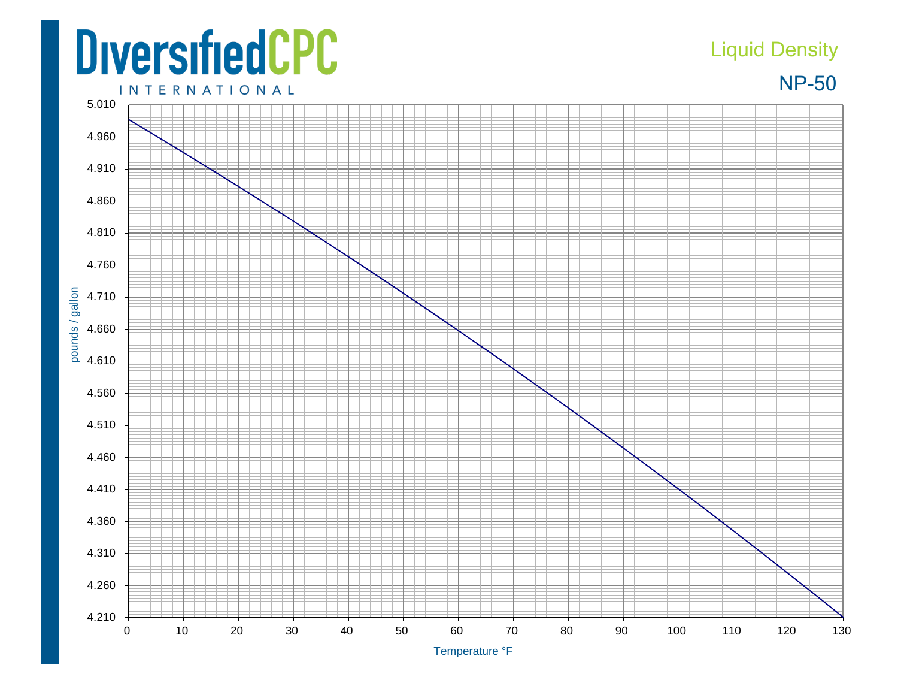## **DiversifiedCPC**

## Liquid Density